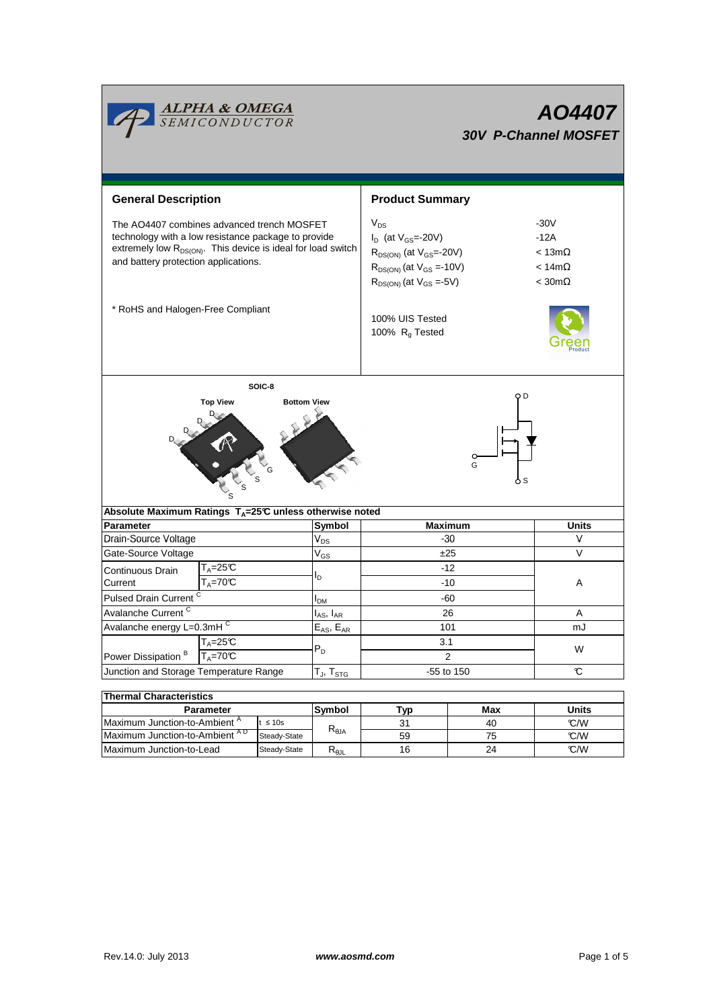| <b>ALPHA &amp; OMEGA</b><br>SEMICONDUCTOR<br><b>AO4407</b><br><b>30V P-Channel MOSFET</b>                                         |                                                                                                                                                                                                                       |                                               |                                                                                                                                                      |            |                                                                        |  |  |  |  |
|-----------------------------------------------------------------------------------------------------------------------------------|-----------------------------------------------------------------------------------------------------------------------------------------------------------------------------------------------------------------------|-----------------------------------------------|------------------------------------------------------------------------------------------------------------------------------------------------------|------------|------------------------------------------------------------------------|--|--|--|--|
| <b>General Description</b>                                                                                                        |                                                                                                                                                                                                                       | <b>Product Summary</b>                        |                                                                                                                                                      |            |                                                                        |  |  |  |  |
|                                                                                                                                   | The AO4407 combines advanced trench MOSFET<br>technology with a low resistance package to provide<br>extremely low R <sub>DS(ON)</sub> . This device is ideal for load switch<br>and battery protection applications. |                                               | $V_{DS}$<br>$I_D$ (at $V_{GS}$ =-20V)<br>$R_{DS(ON)}$ (at $V_{GS}$ =-20V)<br>$R_{DS(ON)}$ (at $V_{GS} = -10V$ )<br>$R_{DS(ON)}$ (at $V_{GS} = -5V$ ) |            | $-30V$<br>$-12A$<br>$< 13m\Omega$<br>$< 14m\Omega$<br>$<$ 30m $\Omega$ |  |  |  |  |
| * RoHS and Halogen-Free Compliant                                                                                                 |                                                                                                                                                                                                                       | 100% UIS Tested<br>100% R <sub>q</sub> Tested |                                                                                                                                                      |            |                                                                        |  |  |  |  |
| SOIC-8<br>ΟD<br><b>Bottom View</b><br><b>Top View</b><br>G<br>Absolute Maximum Ratings T <sub>A</sub> =25℃ unless otherwise noted |                                                                                                                                                                                                                       |                                               |                                                                                                                                                      |            |                                                                        |  |  |  |  |
| <b>Parameter</b>                                                                                                                  | Symbol                                                                                                                                                                                                                |                                               | <b>Maximum</b>                                                                                                                                       | Units      |                                                                        |  |  |  |  |
| Drain-Source Voltage                                                                                                              |                                                                                                                                                                                                                       | $V_{DS}$                                      |                                                                                                                                                      | -30        | V                                                                      |  |  |  |  |
| Gate-Source Voltage                                                                                                               |                                                                                                                                                                                                                       | $V_{GS}$                                      | ±25                                                                                                                                                  |            | $\vee$                                                                 |  |  |  |  |
| Continuous Drain<br>Current                                                                                                       | $T_A = 25C$<br>$T_A = 70C$                                                                                                                                                                                            |                                               | $-12$<br>-10                                                                                                                                         |            | A                                                                      |  |  |  |  |
| Pulsed Drain Current <sup>C</sup>                                                                                                 |                                                                                                                                                                                                                       | I <sub>DM</sub>                               | -60                                                                                                                                                  |            |                                                                        |  |  |  |  |
| Avalanche Current <sup>C</sup>                                                                                                    |                                                                                                                                                                                                                       | I <sub>AS</sub> , I <sub>AR</sub>             | 26                                                                                                                                                   |            | Α                                                                      |  |  |  |  |
| Avalanche energy L=0.3mHC                                                                                                         |                                                                                                                                                                                                                       | $E_{AS}$ , $E_{AR}$                           | 101                                                                                                                                                  |            | mJ                                                                     |  |  |  |  |
| $T_A = 25C$<br>Power Dissipation <sup>B</sup>                                                                                     | $T_A = 70C$                                                                                                                                                                                                           |                                               | 3.1<br>$\overline{2}$                                                                                                                                |            | W                                                                      |  |  |  |  |
| Junction and Storage Temperature Range                                                                                            |                                                                                                                                                                                                                       | $T_J$ , $T_{STG}$                             |                                                                                                                                                      | -55 to 150 | C                                                                      |  |  |  |  |
|                                                                                                                                   |                                                                                                                                                                                                                       |                                               |                                                                                                                                                      |            |                                                                        |  |  |  |  |
| <b>Thermal Characteristics</b>                                                                                                    |                                                                                                                                                                                                                       |                                               |                                                                                                                                                      |            |                                                                        |  |  |  |  |
| Parameter                                                                                                                         |                                                                                                                                                                                                                       | Symbol                                        | <b>Typ</b>                                                                                                                                           | Max        | <b>Units</b>                                                           |  |  |  |  |
| Maximum Junction-to-Ambient <sup>A</sup><br>$t \leq 10s$<br>Maximum Junction-to-Ambient AD<br>Steady-State                        |                                                                                                                                                                                                                       | $R_{\theta JA}$                               | 31<br>59                                                                                                                                             | 40<br>75   | C/W<br>C/W                                                             |  |  |  |  |

Maximum Junction-to-Lead Steady-State R<sub>θJL</sub> 16 24 C/W

16

24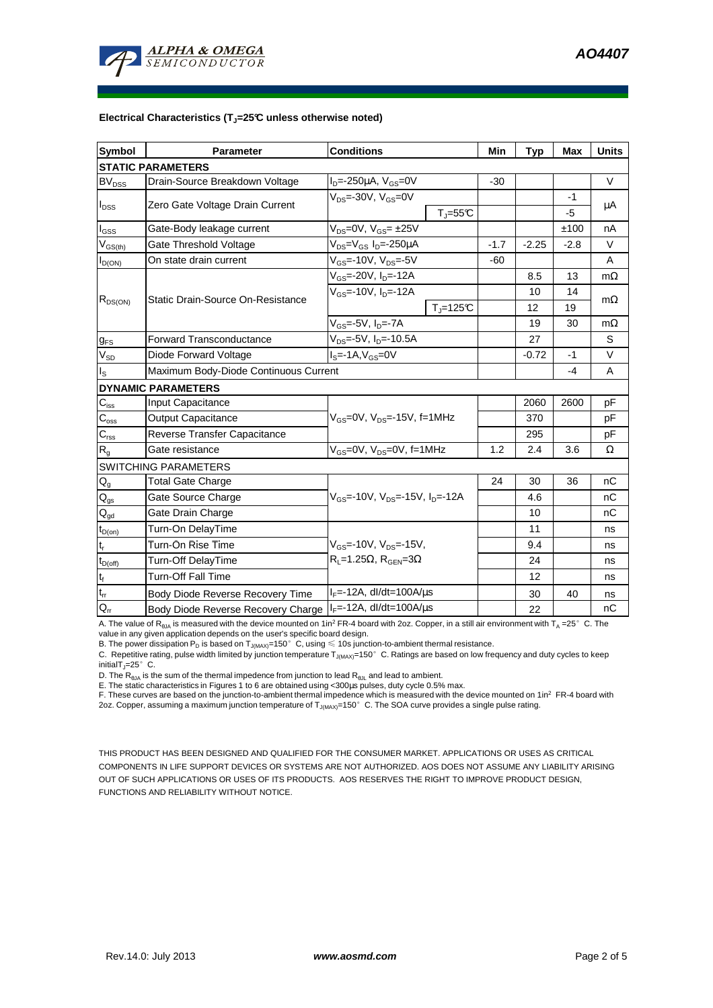

#### **Electrical Characteristics (TJ=25°C unless otherwise noted)**

| <b>Symbol</b>              | <b>Conditions</b><br>Parameter                                         |                                                       | Min    | <b>Typ</b> | <b>Max</b> | <b>Units</b> |  |  |  |  |
|----------------------------|------------------------------------------------------------------------|-------------------------------------------------------|--------|------------|------------|--------------|--|--|--|--|
| <b>STATIC PARAMETERS</b>   |                                                                        |                                                       |        |            |            |              |  |  |  |  |
| <b>BV</b> <sub>DSS</sub>   | Drain-Source Breakdown Voltage                                         | $I_{D} = -250 \mu A$ , $V_{GS} = 0V$                  | $-30$  |            |            | V            |  |  |  |  |
| $I_{DSS}$                  | Zero Gate Voltage Drain Current                                        | $V_{DS}$ =-30V, $V_{GS}$ =0V<br>$T_{\rm J}$ =55 $C$   |        |            | -1<br>$-5$ | μA           |  |  |  |  |
| l <sub>GSS</sub>           | Gate-Body leakage current                                              | $V_{DS} = 0V$ , $V_{GS} = \pm 25V$                    |        |            | ±100       | nA           |  |  |  |  |
| $V_{GS(th)}$               | Gate Threshold Voltage                                                 | $\overline{V}_{DS}$ = $V_{GS}$ I <sub>D</sub> =-250µA | $-1.7$ | $-2.25$    | $-2.8$     | $\vee$       |  |  |  |  |
| $I_{D(ON)}$                | On state drain current                                                 | $V_{GS}$ =-10V, $V_{DS}$ =-5V                         | $-60$  |            |            | A            |  |  |  |  |
| $R_{DS(ON)}$               |                                                                        | $V_{GS}$ =-20V, $I_{D}$ =-12A                         |        | 8.5        | 13         | $m\Omega$    |  |  |  |  |
|                            |                                                                        | $V_{GS}$ =-10V, $I_{D}$ =-12A                         |        | 10         | 14         |              |  |  |  |  |
|                            | Static Drain-Source On-Resistance                                      | $T_{\rm J}$ =125 $C$                                  |        | 12         | 19         | $m\Omega$    |  |  |  |  |
|                            |                                                                        | $V_{GS}$ =-5V, $I_D$ =-7A                             |        | 19         | 30         | $m\Omega$    |  |  |  |  |
| $g_{FS}$                   | <b>Forward Transconductance</b>                                        | $\overline{V_{DS}}$ =-5V, I <sub>D</sub> =-10.5A      |        | 27         |            | S            |  |  |  |  |
| $V_{SD}$                   | Diode Forward Voltage                                                  | $IS=-1A, VGS=0V$                                      |        | $-0.72$    | $-1$       | V            |  |  |  |  |
| I <sub>s</sub>             | Maximum Body-Diode Continuous Current                                  |                                                       |        |            | $-4$       | A            |  |  |  |  |
|                            | <b>DYNAMIC PARAMETERS</b>                                              |                                                       |        |            |            |              |  |  |  |  |
| $C_{iss}$                  | Input Capacitance                                                      |                                                       |        | 2060       | 2600       | pF           |  |  |  |  |
| $C_{\rm oss}$              | <b>Output Capacitance</b>                                              | $V_{GS}$ =0V, $V_{DS}$ =-15V, f=1MHz                  |        | 370        |            | рF           |  |  |  |  |
| $C_{\rm rss}$              | Reverse Transfer Capacitance                                           |                                                       |        | 295        |            | рF           |  |  |  |  |
| $\mathsf{R}_{\mathsf{g}}$  | Gate resistance                                                        | $V_{GS}$ =0V, $V_{DS}$ =0V, f=1MHz                    | 1.2    | 2.4        | 3.6        | Ω            |  |  |  |  |
|                            | <b>SWITCHING PARAMETERS</b>                                            |                                                       |        |            |            |              |  |  |  |  |
| $\mathsf{Q}_{\mathsf{g}}$  | <b>Total Gate Charge</b>                                               |                                                       | 24     | 30         | 36         | nC           |  |  |  |  |
| $Q_{gs}$                   | Gate Source Charge                                                     | $V_{GS}$ =-10V, $V_{DS}$ =-15V, $I_{D}$ =-12A         |        | 4.6        |            | nC           |  |  |  |  |
| $Q_{gd}$                   | Gate Drain Charge                                                      |                                                       |        | 10         |            | nC           |  |  |  |  |
| $t_{D(on)}$                | Turn-On DelayTime                                                      |                                                       |        | 11         |            | ns           |  |  |  |  |
| $t_r$                      | Turn-On Rise Time<br>$V_{GS}$ =-10V, $V_{DS}$ =-15V,                   |                                                       |        | 9.4        |            | ns           |  |  |  |  |
| $t_{D(\text{off})}$        | Turn-Off DelayTime                                                     | $R_L$ =1.25 $\Omega$ , $R_{GEN}$ =3 $\Omega$          |        | 24         |            | ns           |  |  |  |  |
| $t_f$                      | <b>Turn-Off Fall Time</b>                                              |                                                       |        | 12         |            | ns           |  |  |  |  |
| $\mathfrak{t}_{\text{rr}}$ | $I_F$ =-12A, dl/dt=100A/ $\mu$ s<br>Body Diode Reverse Recovery Time   |                                                       |        | 30         | 40         | ns           |  |  |  |  |
| $Q_{rr}$                   | $I_F$ =-12A, dl/dt=100A/ $\mu$ s<br>Body Diode Reverse Recovery Charge |                                                       |        | 22         |            | nC           |  |  |  |  |

A. The value of  $R_{\thetaJA}$  is measured with the device mounted on 1in<sup>2</sup> FR-4 board with 2oz. Copper, in a still air environment with T<sub>A</sub> =25°C. The

value in any given application depends on the user's specific board design.<br>B. The power dissipation P<sub>D</sub> is based on T<sub>J(MAX)</sub>=150°C, using ≤ 10s junction-to-ambient thermal resistance.

C. Repetitive rating, pulse width limited by junction temperature  $T_{J(MAX)}$ =150°C. Ratings are based on low frequency and duty cycles to keep initialT $_{1}=25^{\circ}$  C.

D. The  $R_{\theta JA}$  is the sum of the thermal impedence from junction to lead  $R_{\theta JL}$  and lead to ambient.

E. The static characteristics in Figures 1 to 6 are obtained using <300us pulses, duty cycle 0.5% max.

F. These curves are based on the junction-to-ambient thermal impedence which is measured with the device mounted on 1in<sup>2</sup> FR-4 board with 2oz. Copper, assuming a maximum junction temperature of  $T_{J(MAX)}$ =150°C. The SOA curve provides a single pulse rating.

THIS PRODUCT HAS BEEN DESIGNED AND QUALIFIED FOR THE CONSUMER MARKET. APPLICATIONS OR USES AS CRITICAL COMPONENTS IN LIFE SUPPORT DEVICES OR SYSTEMS ARE NOT AUTHORIZED. AOS DOES NOT ASSUME ANY LIABILITY ARISING OUT OF SUCH APPLICATIONS OR USES OF ITS PRODUCTS. AOS RESERVES THE RIGHT TO IMPROVE PRODUCT DESIGN, FUNCTIONS AND RELIABILITY WITHOUT NOTICE.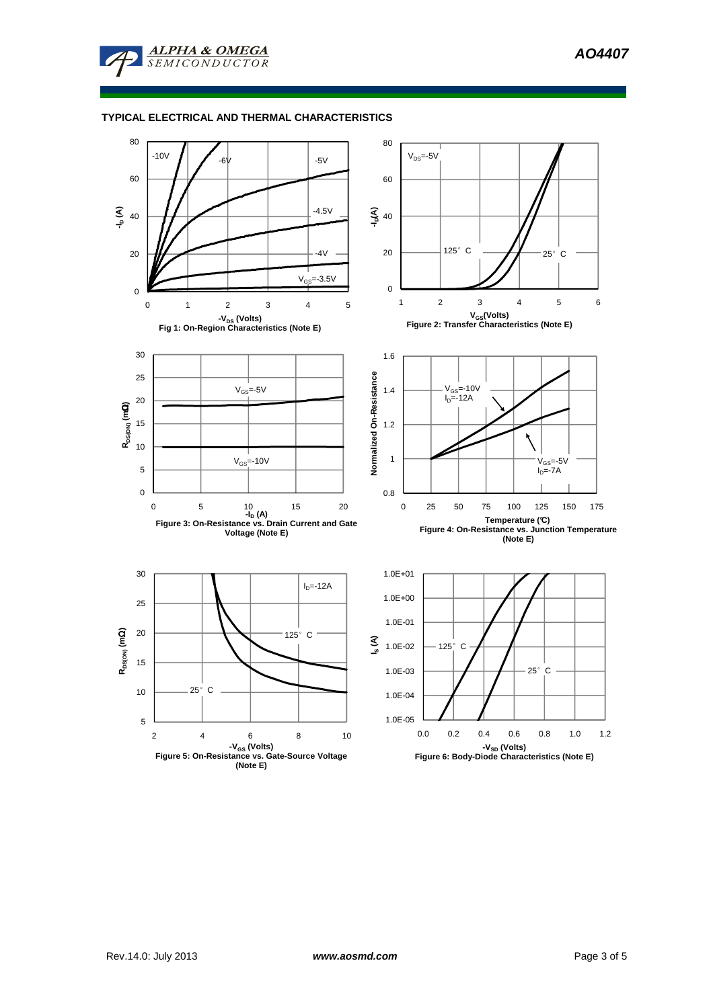

### **TYPICAL ELECTRICAL AND THERMAL CHARACTERISTICS**



**(Note E)**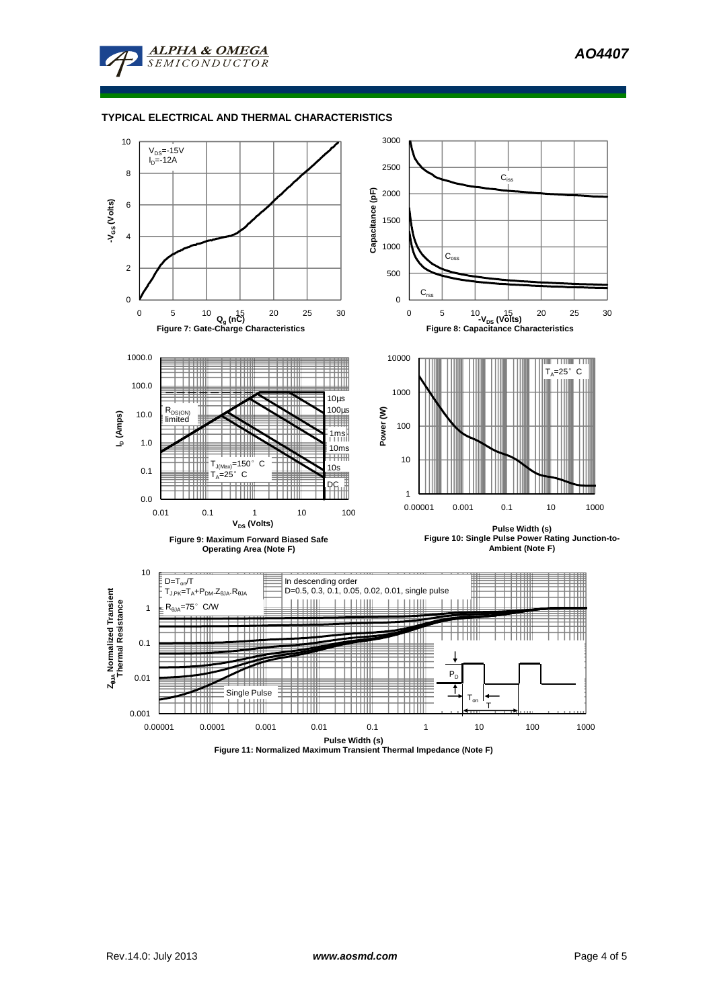**AO4407** 



## **TYPICAL ELECTRICAL AND THERMAL CHARACTERISTICS**